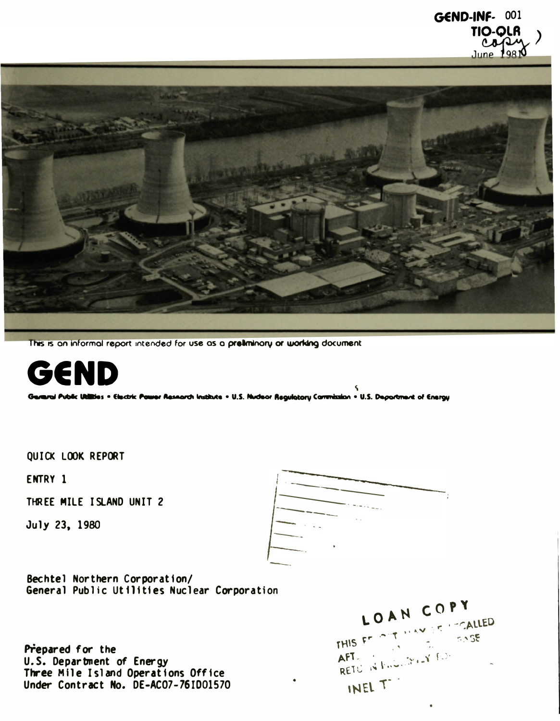

This is an informal report intended for use as a preliminory or working document



Germrei Public Utilities . Electric Pauser Research Institute . U.S. Nucleor Regulatory Commission . U.S. Department of Energy

**OUICK LOOK REPORT** 

ENTRY 1

THREE MILE ISLAND UNIT 2

July 23, 1980

Bechtel Northern Corporation/ General Public Utilities Nuclear Corporation

Prepared for the U.S. Department of Energy Three Mile Island Operations Office Under Contract No. DE-AC07-761001570

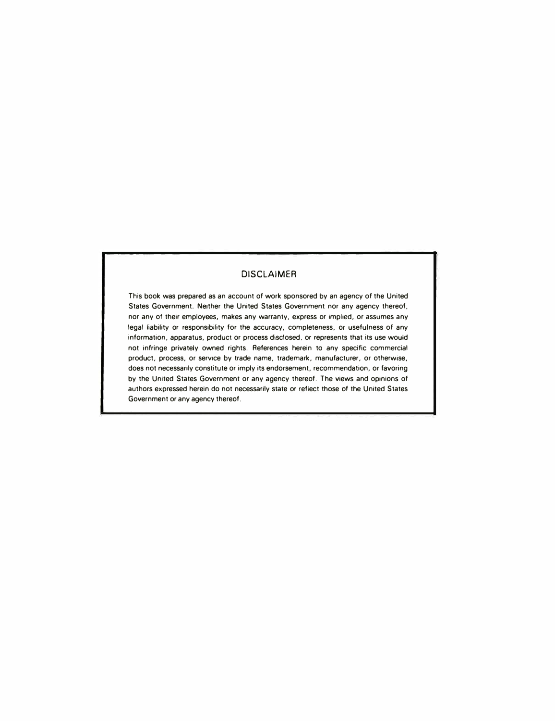#### DISCLAIMER

This book was prepared as an account of work sponsored by an agency of the United States Government. Neither the United States Government nor any agency thereof, nor any of their employees, makes any warranty, express or implied, or assumes any legal liability or responsibility for the accuracy, completeness. or usefulness of any information. apparatus, product or process disclosed. or represents that its use would not infringe privately owned rights. References herein to any specific commercial product, process, or service by trade name, trademark, manufacturer, or otherwise, does not necessarily constitute or imply its endorsement, recommendation, or favoring by the United States Government or any agency thereof. The views and opinions of authors expressed herein do not necessarily state or reflect those of the United States Government or any agency thereof.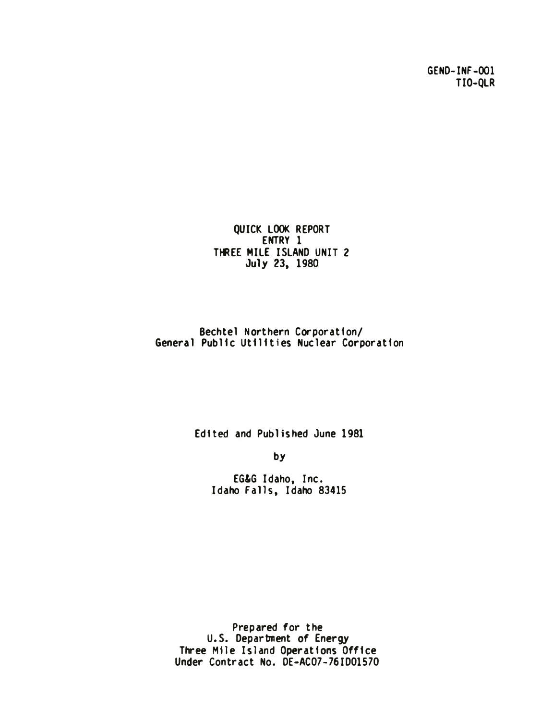GEND-INF-001 TIO-QLR

QUICK LOOK REPORT ENTRY 1 THREE MILE ISLAND UNIT 2 July 23, 1980

### Bechtel Northern Corporation/ General Public Utilities Nuclear Corporation

Edited and Published June 1981

by

EG&G Idaho, Inc. Idaho Falls, Idaho 83415

Prepared for the U.S. Department of Energy Three Mile Island Operations Office Under Contract No. DE-AC07-76ID01570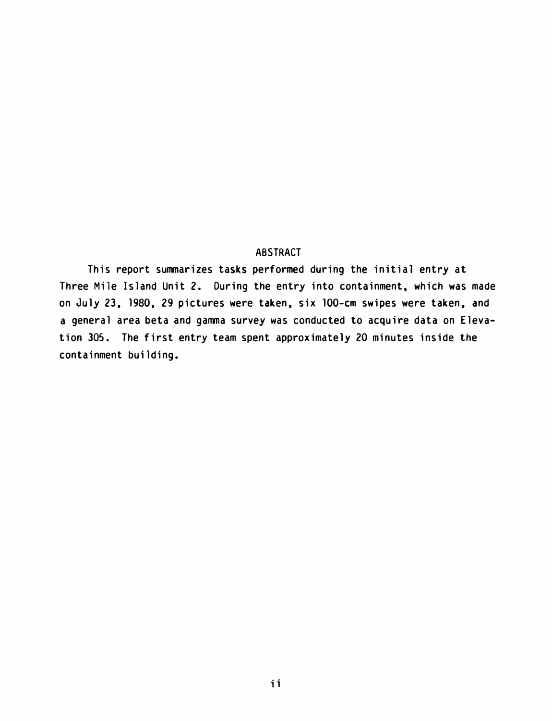#### ABSTRACT

This report summarizes tasks performed during the initial entry at Three Mile Island Unit 2. During the entry into containment, which was made on July 23, 1980, 29 pictures were taken, six 100-cm swipes were taken, and a general area beta and gamma survey was conducted to acquire data on Elevation 305. The first entry team spent approximately 20 minutes inside the containment building.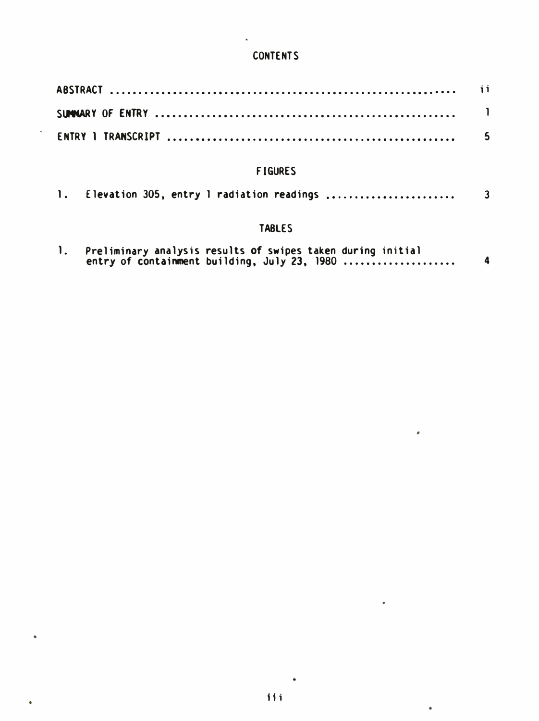## **CONTENTS**

## F IGURES

|  |  |  |  | 1. Elevation 305, entry 1 radiation readings |  |
|--|--|--|--|----------------------------------------------|--|
|--|--|--|--|----------------------------------------------|--|

## TABLES

|  | Preliminary analysis results of swipes taken during initial |  |
|--|-------------------------------------------------------------|--|
|  | entry of containment building, July 23, 1980                |  |

 $\hat{\pmb{\epsilon}}$ 

 $\bullet$ 

 $\bullet$ 

 $\bullet$ 

•

 $\bar{\textbf{t}}$ 

 $\ddot{\phantom{0}}$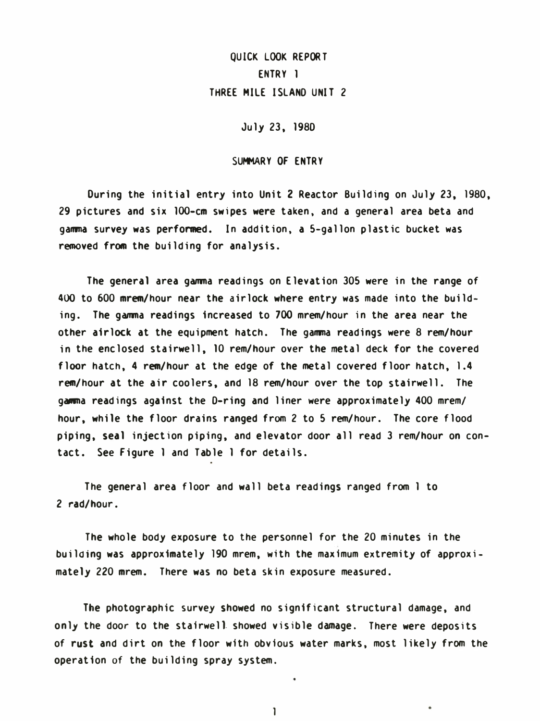## QUICK LOOK REPORT ENTRY 1 THREE MILE ISLAND UNIT 2

July 23, 198D

#### SUMMARY OF ENTRY

During the initial entry into Unit 2 Reactor Building on July 23, 1980, 29 pictures and six 100-cm swipes were taken, and a general area beta and gamma survey was performed. In addition, a 5-gallon plastic bucket was removed from the building for analysis.

The general area gamma readings on Elevation 305 were in the range of 400 to 600 mrem/hour near the airlock where entry was made into the building. The gamma readings increased to 700 mrem/hour in the area near the other airlock at the equipment hatch. The gamma readings were 8 rem/hour in the enclosed sta irwell, 10 rem/hour over the metal deck for the covered floor hatch, 4 rem/hour at the edge of the metal covered floor hatch, 1.4 rem/hour at the air coolers, and 18 rem/hour over the top stairwell. The gamma readings against the D-ring and liner were approximately 400 mrem/ hour, while the floor drains ranged from 2 to 5 rem/hour. The core flood piping, seal injection piping, and elevator door all read 3 rem/hour on contact. See Figure 1 and Table 1 for details.

The general area floor and wall beta readings ranged from 1 to 2 rad/hour.

The whole body exposure to the personnel for the 20 minutes in the building was approximately 190 mrem, with the maximum extremity of approximately 220 mrem. There was no beta skin exposure measured.

The photographic survey showed no significant structural damage, and only the door to the stairwell showed visible damage. There were deposits of rust and dirt on the floor with obvious water marks, most likely from the operation of the building spray system.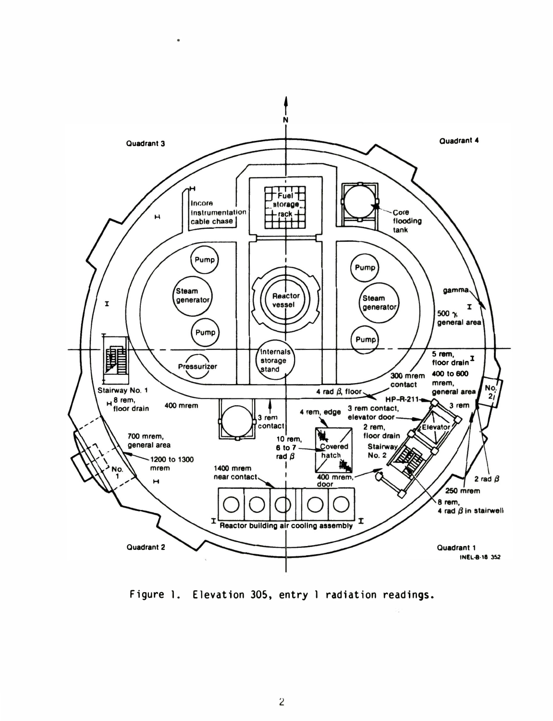

Figure 1. Elevation 305, entry 1 radiation readings.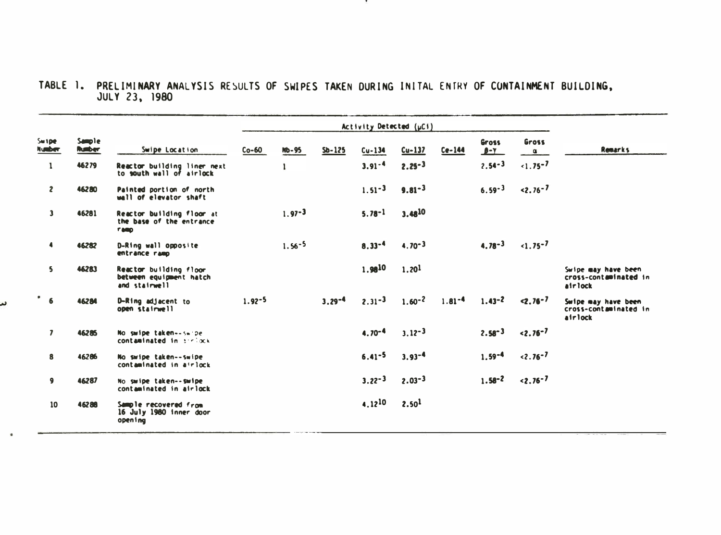# TABLE 1. PRELIMINARY ANALYSIS RESULTS OF SWIPES TAKEN DURING INITAL ENTRY OF CONTAINMENT BUILDING,

- 72

|                         |                                |                                                                      | Activity Detected (µCi) |            |            |             |                   |            |             |                   |                                                         |
|-------------------------|--------------------------------|----------------------------------------------------------------------|-------------------------|------------|------------|-------------|-------------------|------------|-------------|-------------------|---------------------------------------------------------|
| Switpe<br><b>Number</b> | <b>Sample</b><br><b>Runber</b> | Swipe Location                                                       | $Co-60$                 | $MD-95$    | $5b - 125$ | $Cu-134$    | $Cu-137$          | $Ce-144$   | Gross<br>PY | Gross<br>$\alpha$ | <b>Remarks</b>                                          |
| $\mathbf{1}$            | 46279                          | Reactor building liner next<br>to south wall of airlock              |                         |            |            | $3.91 - 4$  | $2.25 - 3$        |            | $2.54 - 3$  | $-1.75 - 7$       |                                                         |
| $\mathbf{z}$            | 46280                          | Painted portion of north<br>wall of elevator shaft                   |                         |            |            | $1.51 - 3$  | $9.81 - 3$        |            | $6.59 - 3$  | $32.76 - 7$       |                                                         |
| $\mathbf{3}$            | 46281                          | Reactor building floor at<br>the base of the entrance<br><b>FARD</b> |                         | $1.97 - 3$ |            | $5.78 - 1$  | 3.4810            |            |             |                   |                                                         |
| $\blacktriangleleft$    | 46282                          | D-Ring wall opposite<br>entrance ramp                                |                         | $1.56 - 5$ |            | $8.33 - 4$  | $4.70 - 3$        |            | $4.78 - 3$  | $1.75 - 7$        |                                                         |
| 5                       | <b>462B3</b>                   | Reactor building floor<br>between equipment hatch<br>and stairwell.  |                         |            |            | 1.9810      | 1.20 <sup>1</sup> |            |             |                   | Swipe may have been<br>cross-contaminated in<br>airlock |
| $\bullet$<br>6          | 46284                          | D-Ring adjacent to<br>open stairwell                                 | $1.92 - 5$              |            | $3.29 - 4$ | $2.31 - 3$  | $1.60 - 2$        | $1.81 - 4$ | $1.43 - 2$  | $2.76 - 7$        | Swipe may have been<br>cross-contaminated in<br>airlock |
| $\overline{\mathbf{z}}$ | 46285                          | No swipe taken--swipe<br>contaminated in antiock                     |                         |            |            | $4.70 - 4$  | $3.12 - 3$        |            | $2.58 - 3$  | $32.76 - 7$       |                                                         |
| 8                       | 46286                          | No swipe taken--swipe<br>contaminated in airlock                     |                         |            |            | $6.41 - 5$  | $3.93 - 4$        |            | $1.59 - 4$  | $3.76 - 7$        |                                                         |
| 9                       | 46287                          | No swipe taken--swipe<br>contaminated in airlock                     |                         |            |            | $3.22 - 3$  | $2.03 - 3$        |            | $1.58 - 2$  | $3.76 - 7$        |                                                         |
| 10                      | 46288                          | Sample recovered from<br>16 July 1980 inner door<br>open ing         |                         |            |            | $4.12^{10}$ | 2.50 <sup>1</sup> |            |             |                   |                                                         |

ىر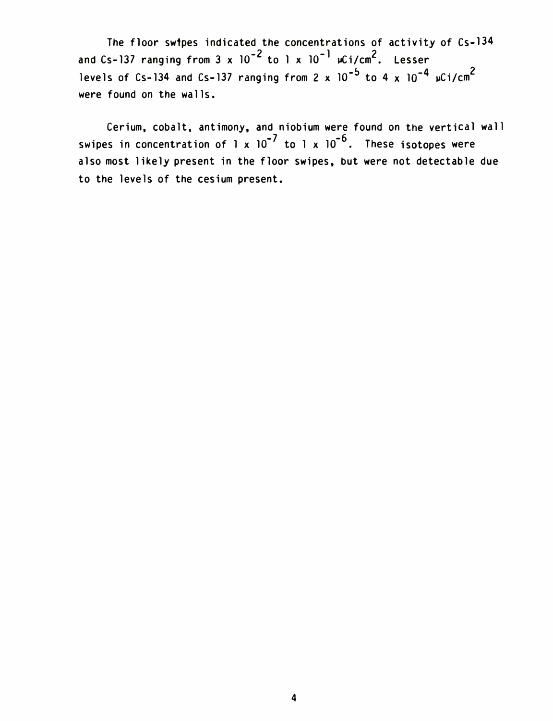The floor swipes indicated the concentrations of activity of Cs-134 and Cs-137 ranging from 3 x  $10^{-2}$  to 1 x  $10^{-1}$  µCi/cm<sup>2</sup>. Lesser levels of Cs-134 and Cs-137 ranging from 2 x  $10^{-5}$  to 4 x  $10^{-4}$   $\mu$ Ci/cm $^2$ were found on the walls.

Cerium, cobalt, antimony, and niobium were found on the vertical wall swipes in concentration of 1 x  $10^{-7}$  to 1 x  $10^{-6}$ . These isotopes were also most likely present in the floor swipes, but were not detectable due to the levels of the cesium present.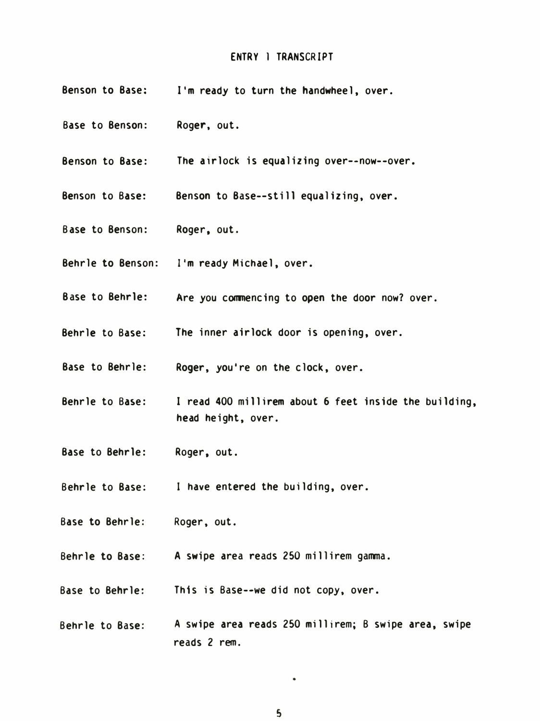#### ENTRY 1 TRANSCRIPT

- Benson to Base: I•m ready to turn the handwheel, over.
- Base to Benson: Roger, out.
- Benson to Base: The airlock is equalizing over--now--over.
- Benson to Base: Benson to Base--still equalizing, over.
- Base to Benson: Roger, out.
- Behrle to Benson: I'm ready Michael, over.
- Base to Behrle: Are you commencing to open the door now? over.
- Behrle to Base: The inner airlock door is opening, over.
- Base to Behrle: Roger, you're on the clock, over.
- Behrle to Base: I read 400 millirem about 6 feet inside the building, head height, over.
- Base to Behrle: Roger, out.
- Behrle to Base: I have entered the building, over.
- Base to Behrle: Roger, out.
- Behrle to Base: A swipe area reads 250 millirem gamma.
- Base to Behrle: This is Base--we did not copy, over.
- Behrle to Base: A swipe area reads 250 millirem; B swipe area, swipe reads 2 rem.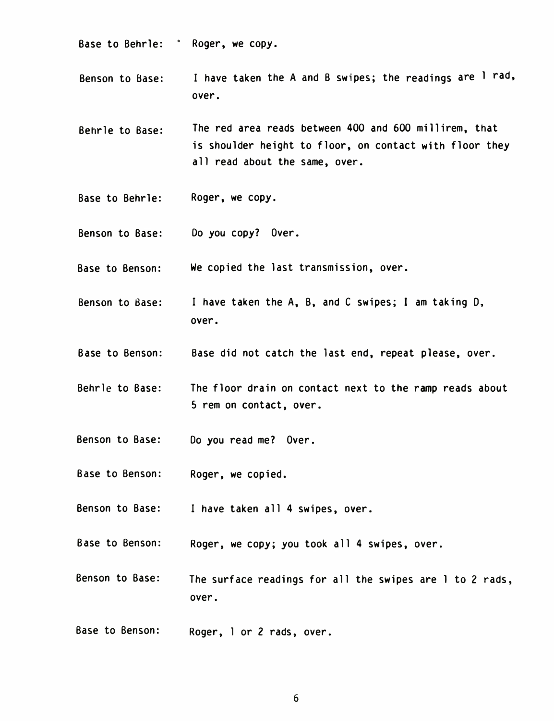- Base to Behrle: Roger, we copy.
- Benson to Base: I have taken the A and B swipes; the readings are 1 rad, over.
- Behrle to Base: The red area reads between 400 and 600 millirem, that is shoulder height to floor, on contact with floor they all read about the same, over.
- Base to Behrle: Roger, we copy.
- Benson to Base: Do you copy? Over.
- Base to Benson: We copied the last transmission, over.
- Benson to Base: I have taken the A, B, and C swipes; I am taking 0, over.
- Base to Benson: Base did not catch the last end, repeat please, over.
- Behrle to Base: The floor drain on contact next to the ramp reads about 5 rem on contact, over.
- Benson to Base: Do you read me? Over.
- Base to Benson: Roger, we copied.
- Benson to Base: I have taken all 4 swipes, over.
- Base to Benson: Roger, we copy; you took all 4 swipes, over.
- Benson to Base: The surface readings for all the swipes are 1 to 2 rads, over.
- Base to Benson: Roger, 1 or 2 rads, over.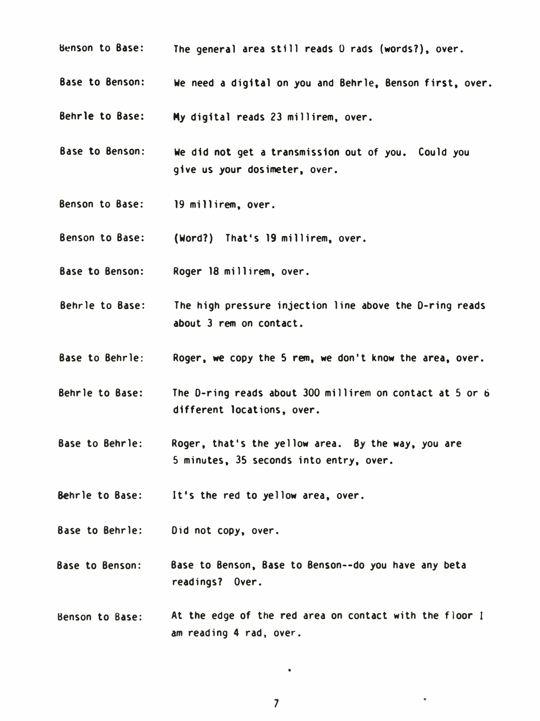- Benson to Base: The general area still reads 0 rads (words?), over.
- Base to Benson: We need a digital on you and Behrle, Benson first, over.

Behrle to Base: My digital reads 23 millirem, over.

- Base to Benson: We did not get a transmission out of you. Could you give us your dosimeter, over.
- Benson to Base: 19 millirem, over.
- Benson to Base: (Word?) That's 19 millirem, over.
- Base to Benson: Roger 18 millirem, over.
- Behrle to Base: The high pressure injection line above the D-ring reads about 3 rem on contact.
- Base to Behrle: Roger, we copy the 5 rem, we don't know the area, over.
- Behrle to Base: The D-ring reads about 300 millirem on contact at 5 or 6 different locations, over.
- Base to Behrle: Roger, that's the yellow area. By the way, you are 5 minutes, 35 seconds into entry, over.

Behrle to Base: It's the red to yellow area, over.

- Base to Behrle: Did not copy, over.
- Base to Benson: Base to Benson, Base to Benson--do you have any beta readings? Over.
- Benson to Base: At the edge of the red area on contact with the floor I am reading 4 rad, over.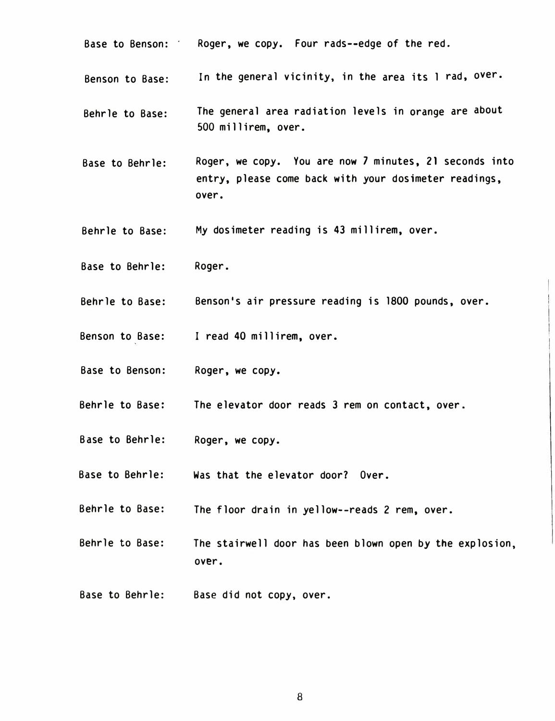- Base to Benson: · Roger, we copy. Four rads-- edge of the red.
- Benson to Base: In the general vicinity, in the area its I rad, over.
- Behrle to Base: The general area radiation levels in orange are about 500 millirem, over.
- Base to Behrle: Roger, we copy. You are now 7 minutes, 21 seconds into entry, please come back with your dosimeter readings, over.
- Behrle to Base: My dosimeter reading is 43 millirem, over.
- Base to Behrle: Roger.
- Behrle to Base: Benson's air pressure reading is 1800 pounds, over.
- Benson to Base: I read 40 millirem, over.
- Base to Benson: Roger, we copy.
- Behrle to Base: The elevator door reads 3 rem on contact, over.
- Base to Behrle: Roger, we copy.
- Base to Behrle: Was that the elevator door? Over.
- Behrle to Base: The floor drain in yellow--reads 2 rem, over.
- Behrle to Base: The stairwell door has been blown open by the explosion, over.
- Base to Behrle: Base did not copy, over.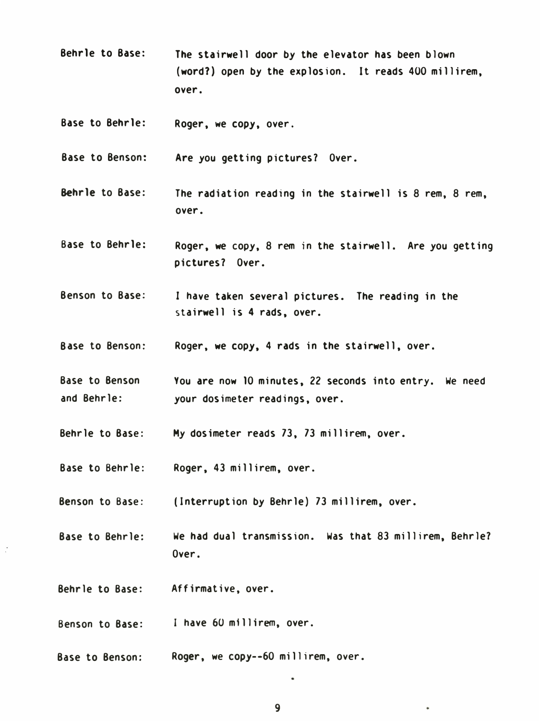- Behrle to Base: The stairwell door by the elevator has been blown (word?) open by the explosion. It reads 400 millirem, over.
- Base to Behrle: Roger, we copy, over.

Base to Benson: Are you getting pictures? Over.

- Behrle to Base: The radiation reading in the stairwell is 8 rem, 8 rem, over.
- Base to Behrle: Roger, we copy, 8 rem in the stairwell. Are you getting pictures? Over.
- Benson to Base: I have taken several pictures. The reading in the stairwell is 4 rads, over.
- Base to Benson: Roger, we copy, 4 rads in the stairwell, over.
- Base to Benson and Behrle: You are now 10 minutes, 22 seconds into entry. We need your dosimeter readings, over.
- Behrle to Base: My dosimeter reads 73, 73 millirem, over.
- Base to Behrle: Roger, 43 millirem, over.
- Benson to Base: (Interruption by Behrle) 73 millirem, over.
- Base to Behrle: We had dual transmission. Was that 83 millirem, Behrle? Over.
- Behrle to Base: Affirmative, over.
- Benson to Base: I have 60 millirem, over.
- Base to Benson: Roger, we copy--60 millirem, over.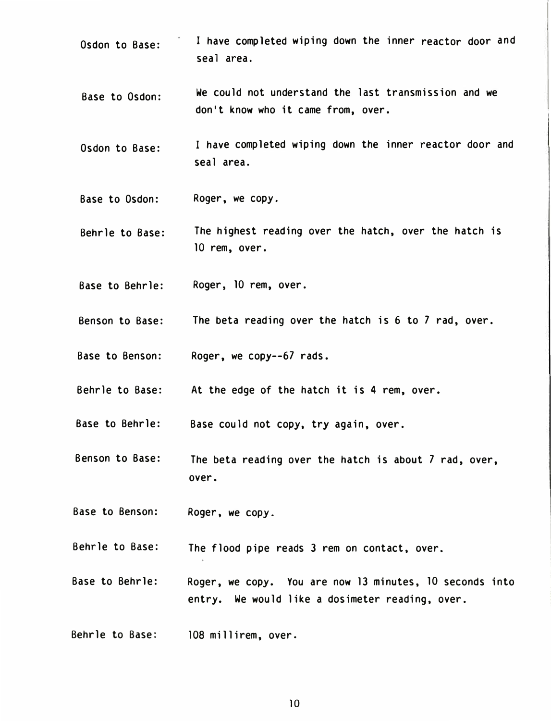- Osdon to Base: I have completed wiping down the inner reactor door and seal area.
- Base to Osdon: We could not understand the last transmission and we don't know who it came from, over.
- Osdon to Base: I have completed wiping down the inner reactor door and seal area.
- Base to Osdon: Roger, we copy.
- Behrle to Base: The highest reading over the hatch, over the hatch is 10 rem, over.
- Base to Behrle: Roger, 10 rem, over.
- Benson to Base: The beta reading over the hatch is 6 to 7 rad, over.
- Base to Benson: Roger, we copy--67 rads.
- Behrle to Base: At the edge of the hatch it is 4 rem, over.

Base to Behrle: Base cou ld not copy, try again, over.

- Benson to Base: The beta reading over the hatch is about 7 rad, over, over.
- Base to Benson: Roger, we copy.

Behrle to Base: The flood pipe reads 3 rem on contact, over.

- Base to Behrle: Roger, we copy. You are now 13 minutes, 10 seconds into entry. We would like a dosimeter reading, over.
- Behrle to Base: 108 millirem, over.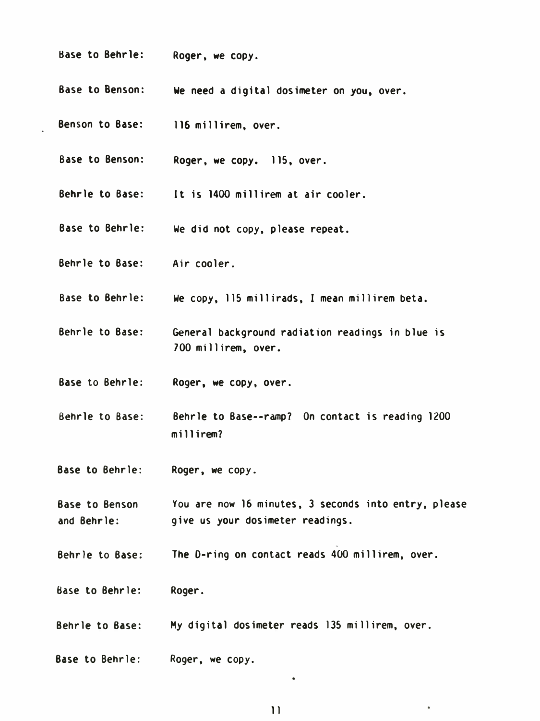- Base to Behrle: Roger, we copy.
- Base to Benson: We need a digital dosimeter on you, over.
- Benson to Base: 116 millirem, over.
- Base to Benson: Roger, we copy. 115, over.
- Behrle to Base: It is 1400 millirem at air cooler.
- Base to Behrle: We did not copy, please repeat.
- Behrle to Base: Air cooler.
- Base to Behrle: We copy, 115 millirads, I mean millirem beta.
- Behrle to Base: General background rad iation readings in blue is 700 millirem, over.
- Base to Behrle: Roger, we copy, over.
- Behrle to Base: Behrle to Base--ramp? On contact is reading 1200 mi 11 irem?
- Base to Behrle: Roger, we copy.
- Base to Benson and Behrle: You are now 16 minutes, 3 seconds into entry, please give us your dosimeter readings.
- Behrle to Base: The D-ring on contact reads 400 millirem, over.
- Base to Behrle: Roger.
- Behrle to Base: My digital dosimeter reads 135 millirem, over.
- Base to Behrle: Roger, we copy.

 $\bullet$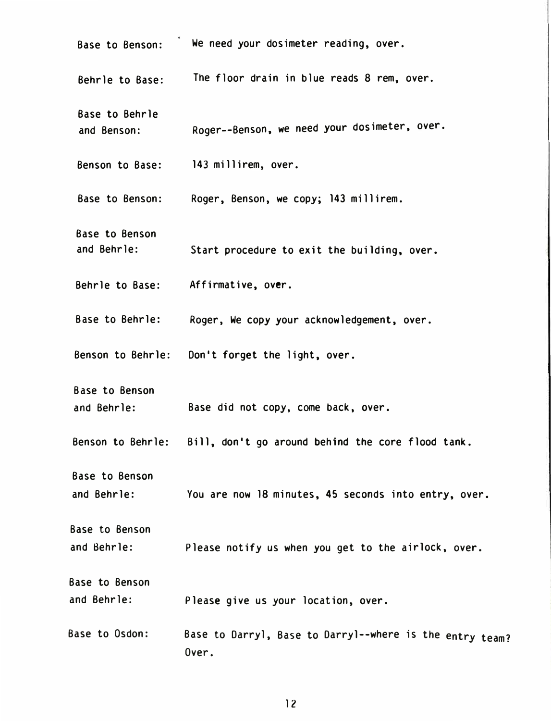| <b>Base to Benson:</b>               | We need your dosimeter reading, over.                             |
|--------------------------------------|-------------------------------------------------------------------|
| Behrle to Base:                      | The floor drain in blue reads 8 rem, over.                        |
| Base to Behrle<br>and Benson:        | Roger--Benson, we need your dosimeter, over.                      |
|                                      | Benson to Base: 143 millirem, over.                               |
| Base to Benson:                      | Roger, Benson, we copy; 143 millirem.                             |
| <b>Base to Benson</b><br>and Behrle: | Start procedure to exit the building, over.                       |
| Behrle to Base:                      | Affirmative, over.                                                |
| Base to Behrle:                      | Roger, We copy your acknowledgement, over.                        |
| Benson to Behrle:                    | Don't forget the light, over.                                     |
| <b>Base to Benson</b><br>and Behrle: | Base did not copy, come back, over.                               |
| Benson to Behrle:                    | Bill, don't go around behind the core flood tank.                 |
| <b>Base to Benson</b><br>and Behrle: | You are now 18 minutes, 45 seconds into entry, over.              |
| <b>Base to Benson</b>                |                                                                   |
| and Behrle:                          | Please notify us when you get to the airlock, over.               |
| <b>Base to Benson</b><br>and Behrle: | Please give us your location, over.                               |
| Base to Osdon:                       | Base to Darryl, Base to Darryl--where is the entry team?<br>Over. |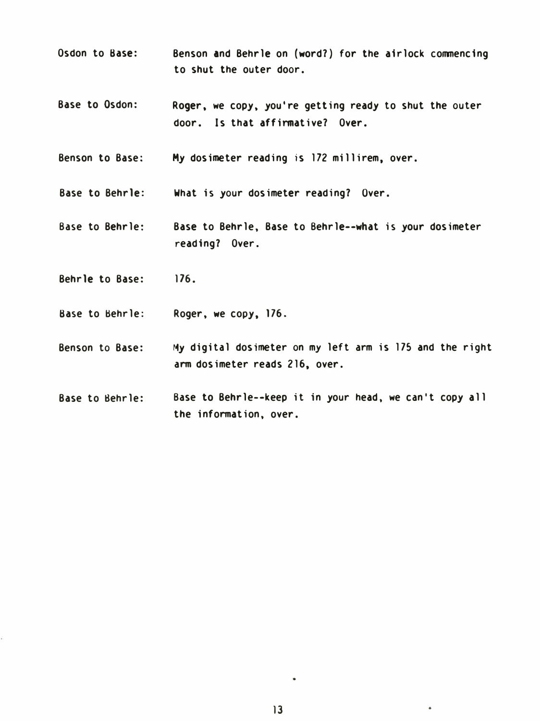- Osdon to Base: Benson and Behrle on (word? ) for the airlock commencing to shut the outer door.
- Base to Osdon: Roger. we copy. you're getting ready to shut the outer door. Is that affinmative? Over.
- Benson to Base: My dosimeter reading is 172 millirem, over.

Base to Behrle: What is your dosimeter reading? Over.

- Base to Behrle: Base to Behrle. Base to Behrle--what is your dosimeter reading? Over.
- Behrle to Base: 176.
- Base to �ehrle: Roger. we copy, 176.
- Benson to Base: My digital dosimeter on my left arm is 175 and the right arm dosimeter reads 2 16, over.
- Base to Sehrle: Base to Behrle--keep it in your head, we can't copy all the information. over.